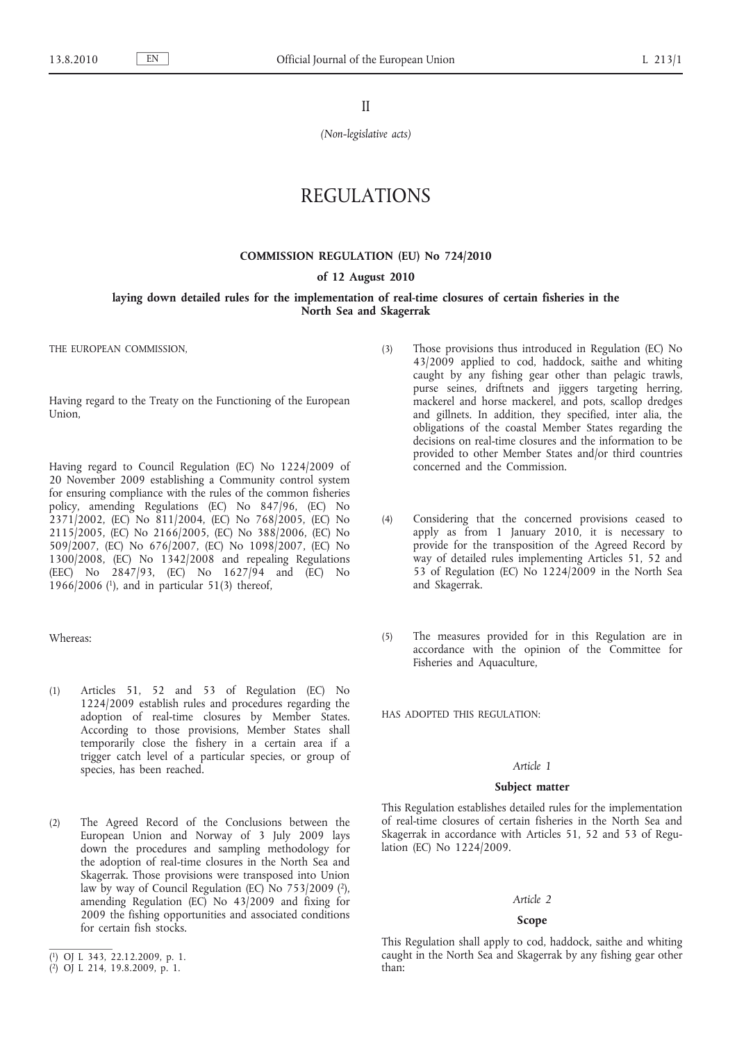II

*(Non-legislative acts)*

# REGULATIONS

### **COMMISSION REGULATION (EU) No 724/2010**

#### **of 12 August 2010**

# **laying down detailed rules for the implementation of real-time closures of certain fisheries in the North Sea and Skagerrak**

THE EUROPEAN COMMISSION,

Having regard to the Treaty on the Functioning of the European Union,

Having regard to Council Regulation (EC) No 1224/2009 of 20 November 2009 establishing a Community control system for ensuring compliance with the rules of the common fisheries policy, amending Regulations (EC) No 847/96, (EC) No 2371/2002, (EC) No 811/2004, (EC) No 768/2005, (EC) No 2115/2005, (EC) No 2166/2005, (EC) No 388/2006, (EC) No 509/2007, (EC) No 676/2007, (EC) No 1098/2007, (EC) No 1300/2008, (EC) No 1342/2008 and repealing Regulations (EEC) No 2847/93, (EC) No 1627/94 and (EC) No 1966/2006 (1), and in particular 51(3) thereof,

#### Whereas:

- (1) Articles 51, 52 and 53 of Regulation (EC) No 1224/2009 establish rules and procedures regarding the adoption of real-time closures by Member States. According to those provisions, Member States shall temporarily close the fishery in a certain area if a trigger catch level of a particular species, or group of species, has been reached.
- (2) The Agreed Record of the Conclusions between the European Union and Norway of 3 July 2009 lays down the procedures and sampling methodology for the adoption of real-time closures in the North Sea and Skagerrak. Those provisions were transposed into Union law by way of Council Regulation (EC) No 753/2009 (2), amending Regulation (EC) No 43/2009 and fixing for 2009 the fishing opportunities and associated conditions for certain fish stocks.
- (3) Those provisions thus introduced in Regulation (EC) No 43/2009 applied to cod, haddock, saithe and whiting caught by any fishing gear other than pelagic trawls, purse seines, driftnets and jiggers targeting herring, mackerel and horse mackerel, and pots, scallop dredges and gillnets. In addition, they specified, inter alia, the obligations of the coastal Member States regarding the decisions on real-time closures and the information to be provided to other Member States and/or third countries concerned and the Commission.
- (4) Considering that the concerned provisions ceased to apply as from 1 January 2010, it is necessary to provide for the transposition of the Agreed Record by way of detailed rules implementing Articles 51, 52 and 53 of Regulation (EC) No 1224/2009 in the North Sea and Skagerrak.
- (5) The measures provided for in this Regulation are in accordance with the opinion of the Committee for Fisheries and Aquaculture,

HAS ADOPTED THIS REGULATION:

# *Article 1*

# **Subject matter**

This Regulation establishes detailed rules for the implementation of real-time closures of certain fisheries in the North Sea and Skagerrak in accordance with Articles 51, 52 and 53 of Regulation (EC) No 1224/2009.

#### *Article 2*

#### **Scope**

This Regulation shall apply to cod, haddock, saithe and whiting caught in the North Sea and Skagerrak by any fishing gear other than:

<sup>(</sup> 1) OJ L 343, 22.12.2009, p. 1.

<sup>(</sup> 2) OJ L 214, 19.8.2009, p. 1.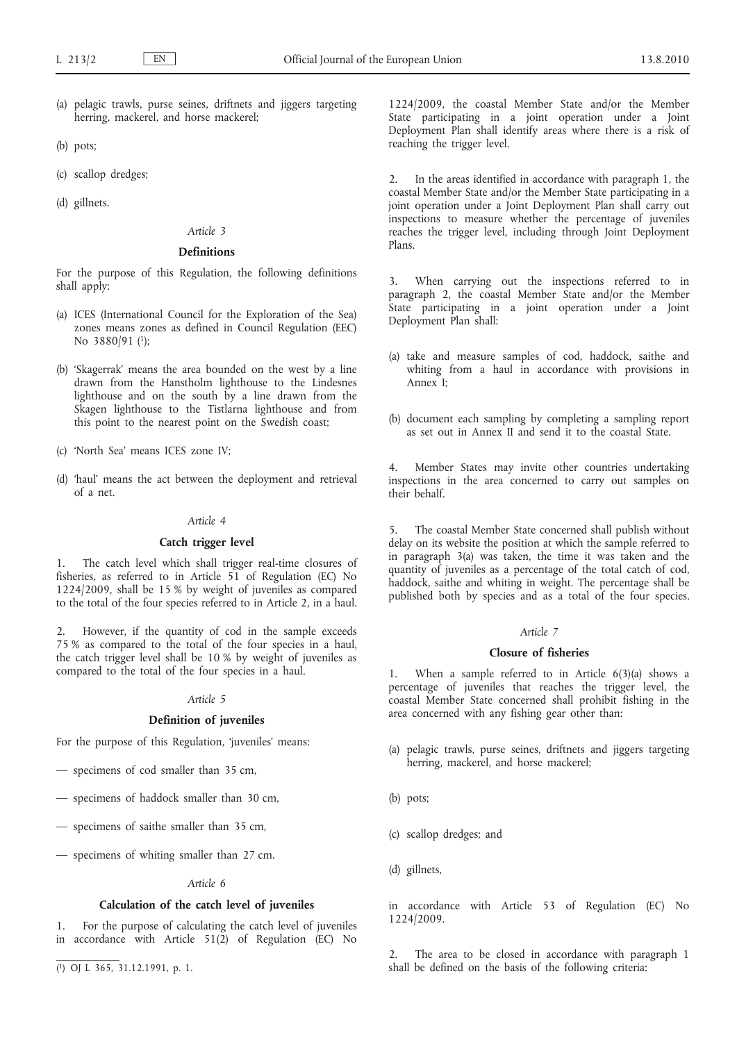- (a) pelagic trawls, purse seines, driftnets and jiggers targeting herring, mackerel, and horse mackerel;
- (b) pots;
- (c) scallop dredges;
- (d) gillnets.

# *Article 3*

# **Definitions**

For the purpose of this Regulation, the following definitions shall apply:

- (a) ICES (International Council for the Exploration of the Sea) zones means zones as defined in Council Regulation (EEC) No 3880/91 (1);
- (b) 'Skagerrak' means the area bounded on the west by a line drawn from the Hanstholm lighthouse to the Lindesnes lighthouse and on the south by a line drawn from the Skagen lighthouse to the Tistlarna lighthouse and from this point to the nearest point on the Swedish coast;
- (c) 'North Sea' means ICES zone IV;
- (d) 'haul' means the act between the deployment and retrieval of a net.

# *Article 4*

#### **Catch trigger level**

1. The catch level which shall trigger real-time closures of fisheries, as referred to in Article 51 of Regulation (EC) No 1224/2009, shall be 15 % by weight of juveniles as compared to the total of the four species referred to in Article 2, in a haul.

However, if the quantity of cod in the sample exceeds 75 % as compared to the total of the four species in a haul, the catch trigger level shall be 10 % by weight of juveniles as compared to the total of the four species in a haul.

# *Article 5*

#### **Definition of juveniles**

For the purpose of this Regulation, 'juveniles' means:

- specimens of cod smaller than 35 cm,
- specimens of haddock smaller than 30 cm,
- specimens of saithe smaller than 35 cm,
- specimens of whiting smaller than 27 cm.

#### *Article 6*

# **Calculation of the catch level of juveniles**

1. For the purpose of calculating the catch level of juveniles in accordance with Article 51(2) of Regulation (EC) No

( 1) OJ L 365, 31.12.1991, p. 1.

1224/2009, the coastal Member State and/or the Member State participating in a joint operation under a Joint Deployment Plan shall identify areas where there is a risk of reaching the trigger level.

In the areas identified in accordance with paragraph 1, the coastal Member State and/or the Member State participating in a joint operation under a Joint Deployment Plan shall carry out inspections to measure whether the percentage of juveniles reaches the trigger level, including through Joint Deployment Plans.

When carrying out the inspections referred to in paragraph 2, the coastal Member State and/or the Member State participating in a joint operation under a Joint Deployment Plan shall:

- (a) take and measure samples of cod, haddock, saithe and whiting from a haul in accordance with provisions in Annex I;
- (b) document each sampling by completing a sampling report as set out in Annex II and send it to the coastal State.

4. Member States may invite other countries undertaking inspections in the area concerned to carry out samples on their behalf.

5. The coastal Member State concerned shall publish without delay on its website the position at which the sample referred to in paragraph 3(a) was taken, the time it was taken and the quantity of juveniles as a percentage of the total catch of cod, haddock, saithe and whiting in weight. The percentage shall be published both by species and as a total of the four species.

# *Article 7*

#### **Closure of fisheries**

1. When a sample referred to in Article 6(3)(a) shows a percentage of juveniles that reaches the trigger level, the coastal Member State concerned shall prohibit fishing in the area concerned with any fishing gear other than:

- (a) pelagic trawls, purse seines, driftnets and jiggers targeting herring, mackerel, and horse mackerel;
- (b) pots;
- (c) scallop dredges; and
- (d) gillnets,

in accordance with Article 53 of Regulation (EC) No 1224/2009.

The area to be closed in accordance with paragraph 1 shall be defined on the basis of the following criteria: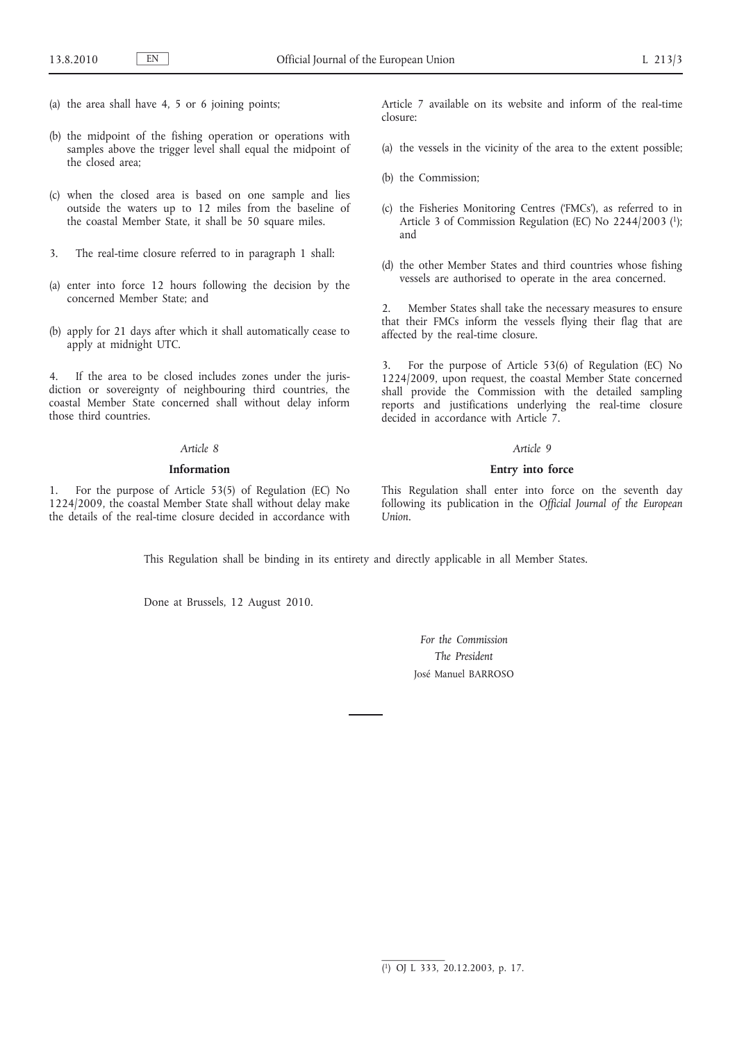- (a) the area shall have 4, 5 or 6 joining points;
- (b) the midpoint of the fishing operation or operations with samples above the trigger level shall equal the midpoint of the closed area;
- (c) when the closed area is based on one sample and lies outside the waters up to 12 miles from the baseline of the coastal Member State, it shall be 50 square miles.
- 3. The real-time closure referred to in paragraph 1 shall:
- (a) enter into force 12 hours following the decision by the concerned Member State; and
- (b) apply for 21 days after which it shall automatically cease to apply at midnight UTC.

4. If the area to be closed includes zones under the jurisdiction or sovereignty of neighbouring third countries, the coastal Member State concerned shall without delay inform those third countries.

#### *Article 8*

# **Information**

1. For the purpose of Article 53(5) of Regulation (EC) No 1224/2009, the coastal Member State shall without delay make the details of the real-time closure decided in accordance with Article 7 available on its website and inform of the real-time closure:

- (a) the vessels in the vicinity of the area to the extent possible;
- (b) the Commission;
- (c) the Fisheries Monitoring Centres ('FMCs'), as referred to in Article 3 of Commission Regulation (EC) No 2244/2003 (1); and
- (d) the other Member States and third countries whose fishing vessels are authorised to operate in the area concerned.

Member States shall take the necessary measures to ensure that their FMCs inform the vessels flying their flag that are affected by the real-time closure.

3. For the purpose of Article 53(6) of Regulation (EC) No 1224/2009, upon request, the coastal Member State concerned shall provide the Commission with the detailed sampling reports and justifications underlying the real-time closure decided in accordance with Article 7.

#### *Article 9*

# **Entry into force**

This Regulation shall enter into force on the seventh day following its publication in the *Official Journal of the European Union*.

This Regulation shall be binding in its entirety and directly applicable in all Member States.

Done at Brussels, 12 August 2010.

*For the Commission The President* José Manuel BARROSO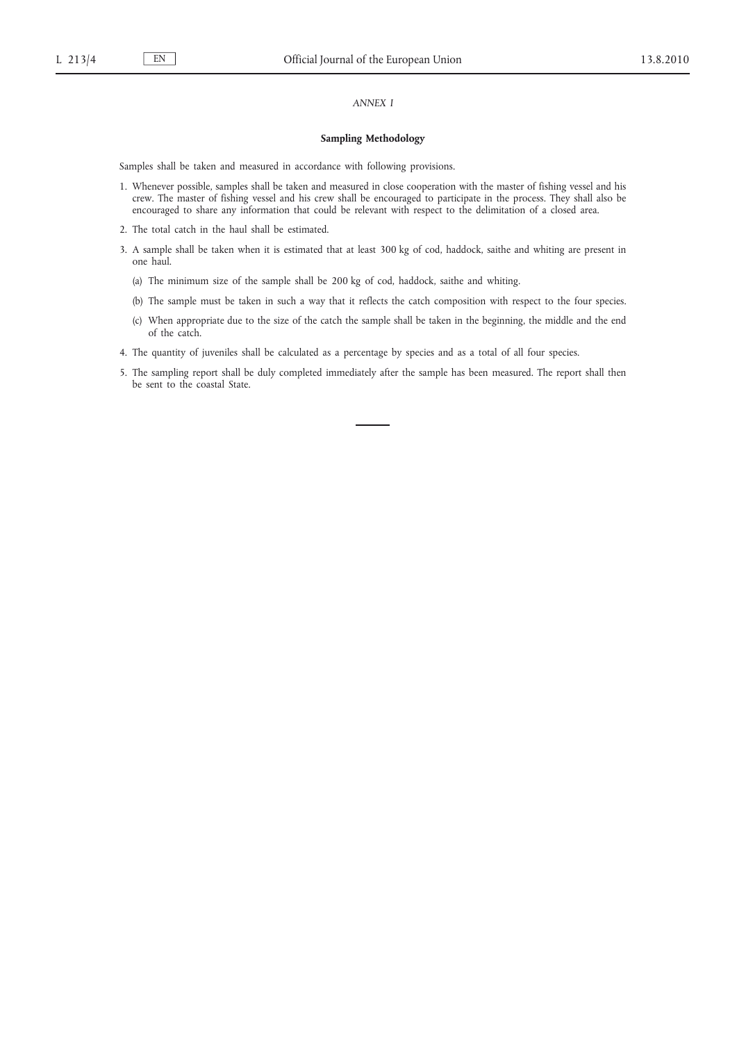# *ANNEX I*

#### **Sampling Methodology**

Samples shall be taken and measured in accordance with following provisions.

- 1. Whenever possible, samples shall be taken and measured in close cooperation with the master of fishing vessel and his crew. The master of fishing vessel and his crew shall be encouraged to participate in the process. They shall also be encouraged to share any information that could be relevant with respect to the delimitation of a closed area.
- 2. The total catch in the haul shall be estimated.
- 3. A sample shall be taken when it is estimated that at least 300 kg of cod, haddock, saithe and whiting are present in one haul.
	- (a) The minimum size of the sample shall be 200 kg of cod, haddock, saithe and whiting.
	- (b) The sample must be taken in such a way that it reflects the catch composition with respect to the four species.
	- (c) When appropriate due to the size of the catch the sample shall be taken in the beginning, the middle and the end of the catch.
- 4. The quantity of juveniles shall be calculated as a percentage by species and as a total of all four species.
- 5. The sampling report shall be duly completed immediately after the sample has been measured. The report shall then be sent to the coastal State.